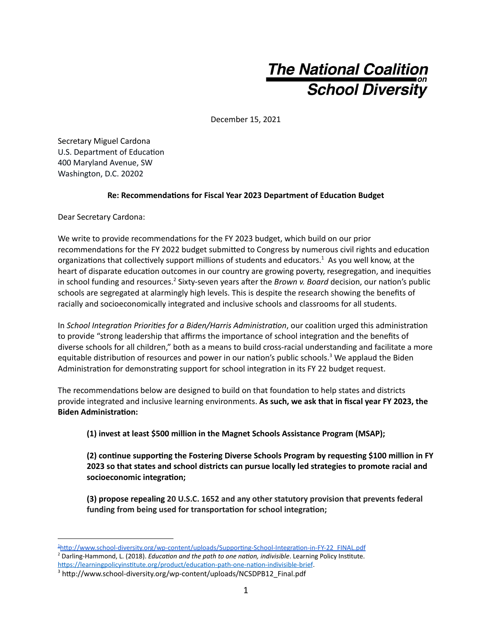## **The National Coalition**<br>School Diversity

December 15, 2021

Secretary Miguel Cardona U.S. Department of Education 400 Maryland Avenue, SW Washington, D.C. 20202

## **Re:** Recommendations for Fiscal Year 2023 Department of Education Budget

Dear Secretary Cardona:

We write to provide recommendations for the FY 2023 budget, which build on our prior recommendations for the FY 2022 budget submitted to Congress by numerous civil rights and education organizations that collectively support millions of students and educators.<sup>1</sup> As you well know, at the heart of disparate education outcomes in our country are growing poverty, resegregation, and inequities in school funding and resources.<sup>2</sup> Sixty-seven years after the *Brown v. Board* decision, our nation's public schools are segregated at alarmingly high levels. This is despite the research showing the benefits of racially and socioeconomically integrated and inclusive schools and classrooms for all students.

In *School Integration Priorities for a Biden/Harris Administration, our coalition urged this administration* to provide "strong leadership that affirms the importance of school integration and the benefits of diverse schools for all children," both as a means to build cross-racial understanding and facilitate a more equitable distribution of resources and power in our nation's public schools.<sup>3</sup> We applaud the Biden Administration for demonstrating support for school integration in its FY 22 budget request.

The recommendations below are designed to build on that foundation to help states and districts provide integrated and inclusive learning environments. **As such, we ask that in fiscal year FY 2023, the Biden Administration:** 

**(1) invest at least \$500 million in the Magnet Schools Assistance Program (MSAP);**

**(2) connue supporng the Fostering Diverse Schools Program by requesng \$100 million in FY 2023 so that states and school districts can pursue locally led strategies to promote racial and**  $socioeconomic integration;$ 

**(3) propose repealing 20 U.S.C. 1652 and any other statutory provision that prevents federal funding** from being used for transportation for school integration;

<sup>&</sup>lt;sup>2</sup> Darling-Hammond, L. (2018). *Education and the path to one nation, indivisible*. Learning Policy Institute. https://learningpolicyinstitute.org/product/education-path-one-nation-indivisible-brief. <sup>1</sup>http://www.school-diversity.org/wp-content/uploads/Supporting-School-Integration-in-FY-22\_FINAL.pdf

<sup>&</sup>lt;sup>3</sup> http://www.school-diversity.org/wp-content/uploads/NCSDPB12\_Final.pdf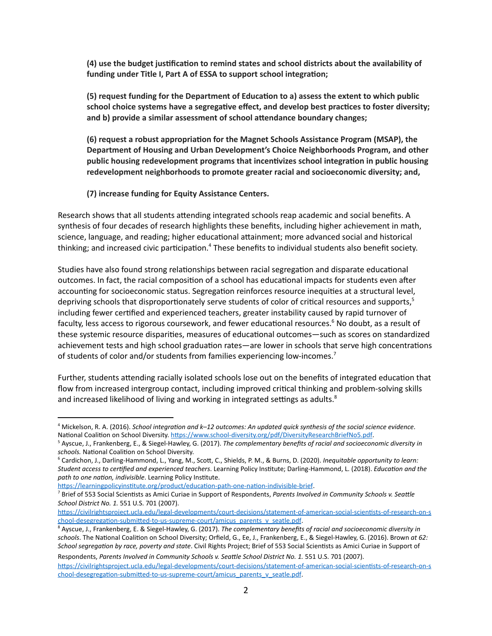**(4) use the budget jusficaon to remind states and school districts about the availability of funding** under Title I, Part A of ESSA to support school integration;

**(5) request funding for the Department of Educaon to a) assess the extent to which public school** choice systems have a segregative effect, and develop best practices to foster diversity; **and b**) provide a similar assessment of school attendance boundary changes;

**(6) request a robust appropriaon for the Magnet Schools Assistance Program (MSAP), the Department of Housing and Urban Development's Choice Neighborhoods Program, and other public** housing redevelopment programs that incentivizes school integration in public housing **redevelopment neighborhoods to promote greater racial and socioeconomic diversity; and,**

**(7) increase funding for Equity Assistance Centers.**

Research shows that all students attending integrated schools reap academic and social benefits. A synthesis of four decades of research highlights these benefits, including higher achievement in math, science, language, and reading; higher educational attainment; more advanced social and historical thinking; and increased civic participation.<sup>4</sup> These benefits to individual students also benefit society.

Studies have also found strong relationships between racial segregation and disparate educational outcomes. In fact, the racial composition of a school has educational impacts for students even after accounting for socioeconomic status. Segregation reinforces resource inequities at a structural level, depriving schools that disproportionately serve students of color of critical resources and supports,<sup>5</sup> including fewer cerfied and experienced teachers, greater instability caused by rapid turnover of faculty, less access to rigorous coursework, and fewer educational resources.<sup>6</sup> No doubt, as a result of these systemic resource disparities, measures of educational outcomes—such as scores on standardized achievement tests and high school graduation rates—are lower in schools that serve high concentrations of students of color and/or students from families experiencing low-incomes.<sup>7</sup>

Further, students attending racially isolated schools lose out on the benefits of integrated education that flow from increased intergroup contact, including improved critical thinking and problem-solving skills and increased likelihood of living and working in integrated settings as adults. $8$ 

https://learningpolicyinstitute.org/product/education-path-one-nation-indivisible-brief.

<sup>&</sup>lt;sup>4</sup> Mickelson, R. A. (2016). *School integration and k–12 outcomes: An updated quick synthesis of the social science evidence.* National Coalition on School Diversity. https://www.school-diversity.org/pdf/DiversityResearchBriefNo5.pdf.

<sup>5</sup> Ayscue, J., Frankenberg, E., & Siegel-Hawley, G. (2017). *The complementary benefits of racial and socioeconomic diversity in* schools. National Coalition on School Diversity.

<sup>6</sup> Cardichon, J., Darling-Hammond, L., Yang, M., Scott, C., Shields, P. M., & Burns, D. (2020). *Inequitable opportunity to learn: Student access to certified and experienced teachers*. Learning Policy Institute; Darling-Hammond, L. (2018). *Education and the* path to one nation, indivisible. Learning Policy Institute.

<sup>&</sup>lt;sup>7</sup> Brief of 553 Social Scientists as Amici Curiae in Support of Respondents, Parents Involved in Community Schools v. Seattle *School District No. 1.* 551 U.S. 701 (2007).

https://civilrightsproject.ucla.edu/legal-developments/court-decisions/statement-of-american-social-scientists-of-research-on-s chool-desegregation-submitted-to-us-supreme-court/amicus\_parents\_v\_seatle.pdf.

<sup>8</sup> Ayscue, J., Frankenberg, E. & Siegel-Hawley, G. (2017). *The complementary benefits of racial and socioeconomic diversity in* schools. The National Coalition on School Diversity; Orfield, G., Ee, J., Frankenberg, E., & Siegel-Hawley, G. (2016). Brown at 62: *School segregation by race, poverty and state*. Civil Rights Project; Brief of 553 Social Scientists as Amici Curiae in Support of Respondents, Parents Involved in Community Schools v. Seattle School District No. 1. 551 U.S. 701 (2007).

https://civilrightsproject.ucla.edu/legal-developments/court-decisions/statement-of-american-social-scientists-of-research-on-s chool-desegregation-submitted-to-us-supreme-court/amicus\_parents\_v\_seatle.pdf.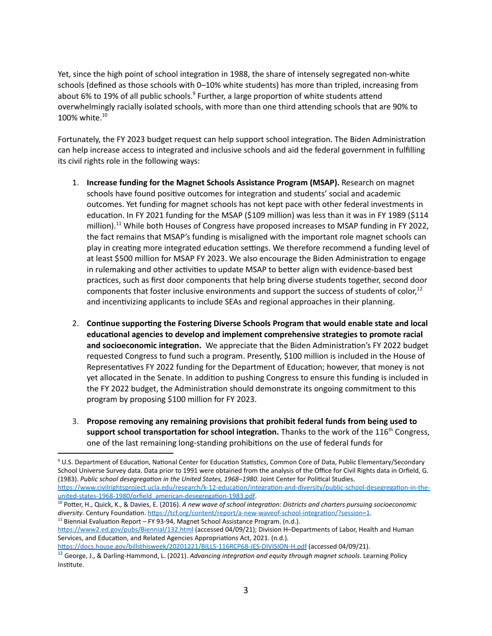Yet, since the high point of school integration in 1988, the share of intensely segregated non-white schools (defined as those schools with 0–10% white students) has more than tripled, increasing from about 6% to 19% of all public schools.<sup>9</sup> Further, a large proportion of white students attend overwhelmingly racially isolated schools, with more than one third attending schools that are 90% to 100% white. 10

Fortunately, the FY 2023 budget request can help support school integration. The Biden Administration can help increase access to integrated and inclusive schools and aid the federal government in fulfilling its civil rights role in the following ways:

- 1. **Increase funding for the Magnet Schools Assistance Program (MSAP).** Research on magnet schools have found positive outcomes for integration and students' social and academic outcomes. Yet funding for magnet schools has not kept pace with other federal investments in education. In FY 2021 funding for the MSAP (\$109 million) was less than it was in FY 1989 (\$114 million).<sup>11</sup> While both Houses of Congress have proposed increases to MSAP funding in FY 2022, the fact remains that MSAP's funding is misaligned with the important role magnet schools can play in creating more integrated education settings. We therefore recommend a funding level of at least \$500 million for MSAP FY 2023. We also encourage the Biden Administration to engage in rulemaking and other activities to update MSAP to better align with evidence-based best practices, such as first door components that help bring diverse students together, second door components that foster inclusive environments and support the success of students of color,<sup>12</sup> and incentivizing applicants to include SEAs and regional approaches in their planning.
- 2. **Connue supporng the Fostering Diverse Schools Program that would enable state and local educaonal agencies to develop and implement comprehensive strategies to promote racial and socioeconomic integration.** We appreciate that the Biden Administration's FY 2022 budget requested Congress to fund such a program. Presently, \$100 million is included in the House of Representatives FY 2022 funding for the Department of Education; however, that money is not yet allocated in the Senate. In addition to pushing Congress to ensure this funding is included in the FY 2022 budget, the Administration should demonstrate its ongoing commitment to this program by proposing \$100 million for FY 2023.
- 3. **Propose removing any remaining provisions that prohibit federal funds from being used to** support school transportation for school integration. Thanks to the work of the 116<sup>th</sup> Congress, one of the last remaining long-standing prohibitions on the use of federal funds for

https://docs.house.gov/billsthisweek/20201221/BILLS-116RCP68-JES-DIVISION-H.pdf (accessed 04/09/21).

<sup>&</sup>lt;sup>9</sup> U.S. Department of Education, National Center for Education Statistics, Common Core of Data, Public Elementary/Secondary School Universe Survey data. Data prior to 1991 were obtained from the analysis of the Office for Civil Rights data in Orfield, G. (1983). Public school desegregation in the United States, 1968–1980. Joint Center for Political Studies. https://www.civilrightsproject.ucla.edu/research/k-12-education/integration-and-diversity/public-school-desegregation-in-theunited-states-1968-1980/orfield\_american-desegregation-1983.pdf.

 $11$  Biennial Evaluation Report – FY 93-94, Magnet School Assistance Program. (n.d.). <sup>10</sup> Potter, H., Quick, K., & Davies, E. (2016). A new wave of school integration: Districts and charters pursuing socioeconomic diversity. Century Foundation. https://tcf.org/content/report/a-new-waveof-school-integration/?session=1.

https://www2.ed.gov/pubs/Biennial/132.html (accessed 04/09/21); Division H-Departments of Labor, Health and Human Services, and Education, and Related Agencies Appropriations Act, 2021. (n.d.).

<sup>&</sup>lt;sup>12</sup> George, J., & Darling-Hammond, L. (2021). *Advancing integration and equity through magnet schools*. Learning Policy Institute.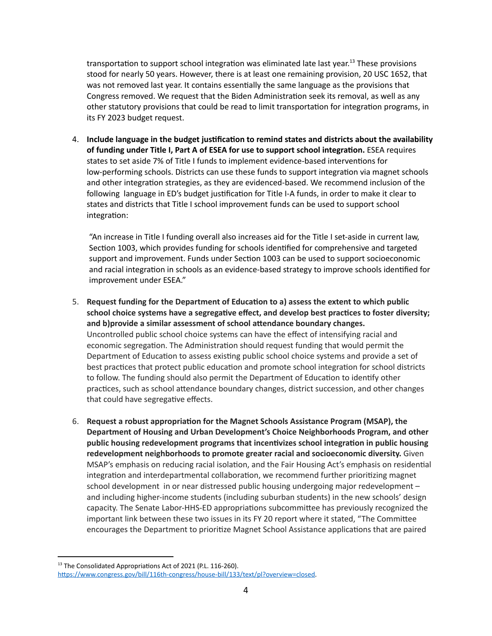transportation to support school integration was eliminated late last year.<sup>13</sup> These provisions stood for nearly 50 years. However, there is at least one remaining provision, 20 USC 1652, that was not removed last year. It contains essentially the same language as the provisions that Congress removed. We request that the Biden Administration seek its removal, as well as any other statutory provisions that could be read to limit transportation for integration programs, in its FY 2023 budget request.

4. **Include language in the budget jusficaon to remind states and districts about the availability of funding under Title I, Part A of ESEA for use to support school integraon.** ESEA requires states to set aside 7% of Title I funds to implement evidence-based interventions for low-performing schools. Districts can use these funds to support integration via magnet schools and other integration strategies, as they are evidenced-based. We recommend inclusion of the following language in ED's budget justification for Title I-A funds, in order to make it clear to states and districts that Title I school improvement funds can be used to support school integration:

"An increase in Title I funding overall also increases aid for the Title I set-aside in current law, Section 1003, which provides funding for schools identified for comprehensive and targeted support and improvement. Funds under Section 1003 can be used to support socioeconomic and racial integration in schools as an evidence-based strategy to improve schools identified for improvement under ESEA."

- 5. **Request funding for the Department of Educaon to a) assess the extent to which public school** choice systems have a segregative effect, and develop best practices to foster diversity; **and b**) provide a similar assessment of school attendance boundary changes. Uncontrolled public school choice systems can have the effect of intensifying racial and economic segregation. The Administration should request funding that would permit the Department of Education to assess existing public school choice systems and provide a set of best practices that protect public education and promote school integration for school districts to follow. The funding should also permit the Department of Education to identify other practices, such as school attendance boundary changes, district succession, and other changes that could have segregative effects.
- 6. **Request a robust appropriaon for the Magnet Schools Assistance Program (MSAP), the Department of Housing and Urban Development's Choice Neighborhoods Program, and other public** housing redevelopment programs that incentivizes school integration in public housing **redevelopment neighborhoods to promote greater racial and socioeconomic diversity.** Given MSAP's emphasis on reducing racial isolation, and the Fair Housing Act's emphasis on residential integration and interdepartmental collaboration, we recommend further prioritizing magnet school development in or near distressed public housing undergoing major redevelopment – and including higher-income students (including suburban students) in the new schools' design capacity. The Senate Labor-HHS-ED appropriations subcommittee has previously recognized the important link between these two issues in its FY 20 report where it stated, "The Committee encourages the Department to prioritize Magnet School Assistance applications that are paired

<sup>&</sup>lt;sup>13</sup> The Consolidated Appropriations Act of 2021 (P.L. 116-260). https://www.congress.gov/bill/116th-congress/house-bill/133/text/pl?overview=closed.